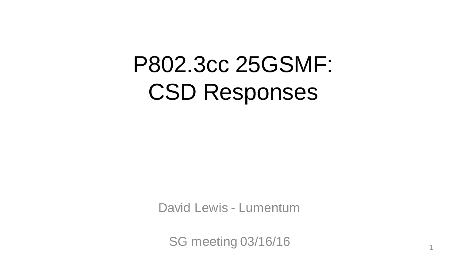# P802.3cc 25GSMF: CSD Responses

David Lewis - Lumentum

SG meeting 03/16/16 1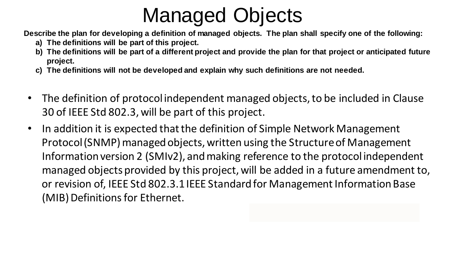# Managed Objects

**Describe the plan for developing a definition of managed objects. The plan shall specify one of the following:**

- **a) The definitions will be part of this project.**
- **b) The definitions will be part of a different project and provide the plan for that project or anticipated future project.**
- **c) The definitions will not be developed and explain why such definitions are not needed.**
- The definition of protocol independent managed objects, to be included in Clause 30 of IEEE Std 802.3, will be part of this project.
- In addition it is expected that the definition of Simple Network Management Protocol (SNMP) managed objects, written using the Structure of Management Information version 2 (SMIv2), and making reference to the protocol independent managed objects provided by this project, will be added in a future amendment to, or revision of, IEEE Std 802.3.1 IEEE Standard for Management Information Base (MIB) Definitions for Ethernet.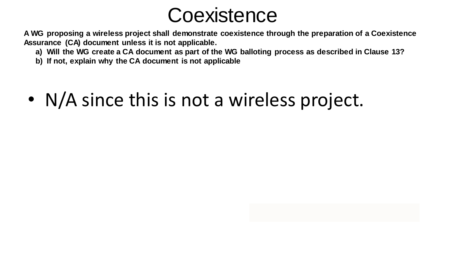

**A WG proposing a wireless project shall demonstrate coexistence through the preparation of a Coexistence Assurance (CA) document unless it is not applicable.**

- **a) Will the WG create a CA document as part of the WG balloting process as described in Clause 13?**
- **b) If not, explain why the CA document is not applicable**
- N/A since this is not a wireless project.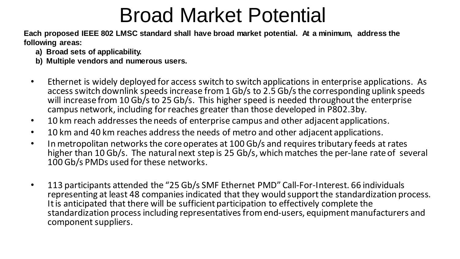### Broad Market Potential

**Each proposed IEEE 802 LMSC standard shall have broad market potential. At a minimum, address the following areas:**

- **a) Broad sets of applicability.**
- **b) Multiple vendors and numerous users.**
- Ethernet is widely deployed for access switch to switch applications in enterprise applications. As access switch downlink speeds increase from 1 Gb/s to 2.5 Gb/s the corresponding uplink speeds will increase from 10 Gb/s to 25 Gb/s. This higher speed is needed throughout the enterprise campus network, including for reaches greater than those developed in P802.3by.
- 10 km reach addresses the needs of enterprise campus and other adjacent applications.
- 10 km and 40 km reaches address the needs of metro and other adjacent applications.
- In metropolitan networks the core operates at 100 Gb/s and requires tributary feeds at rates higher than 10 Gb/s. The natural next step is 25 Gb/s, which matches the per-lane rate of several 100 Gb/s PMDs used for these networks.
- 113 participants attended the "25 Gb/s SMF Ethernet PMD" Call-For-Interest. 66 individuals representing at least 48 companies indicated that they would support the standardization process. It is anticipated that there will be sufficient participation to effectively complete the standardization process including representatives from end-users, equipment manufacturers and component suppliers.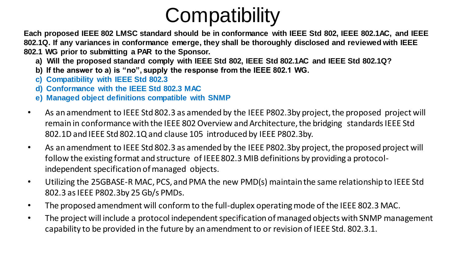# **Compatibility**

**Each proposed IEEE 802 LMSC standard should be in conformance with IEEE Std 802, IEEE 802.1AC, and IEEE 802.1Q. If any variances in conformance emerge, they shall be thoroughly disclosed and reviewed with IEEE 802.1 WG prior to submitting a PAR to the Sponsor.**

- **a) Will the proposed standard comply with IEEE Std 802, IEEE Std 802.1AC and IEEE Std 802.1Q?**
- **b) If the answer to a) is "no", supply the response from the IEEE 802.1 WG.**
- **c) Compatibility with IEEE Std 802.3**
- **d) Conformance with the IEEE Std 802.3 MAC**
- **e) Managed object definitions compatible with SNMP**
- As an amendment to IEEE Std 802.3 as amended by the IEEE P802.3by project, the proposed project will remain in conformance with the IEEE 802 Overview and Architecture, the bridging standards IEEE Std 802.1D and IEEE Std 802.1Q and clause 105 introduced by IEEE P802.3by.
- As an amendment to IEEE Std 802.3 as amended by the IEEE P802.3by project, the proposed project will follow the existing format and structure of IEEE 802.3 MIB definitions by providing a protocolindependent specification of managed objects.
- Utilizing the 25GBASE-R MAC, PCS, and PMA the new PMD(s) maintain the same relationship to IEEE Std 802.3 as IEEE P802.3by 25 Gb/s PMDs.
- The proposed amendment will conform to the full-duplex operating mode of the IEEE 802.3 MAC.
- The project will include a protocol independent specification of managed objects with SNMP management capability to be provided in the future by an amendment to or revision of IEEE Std. 802.3.1.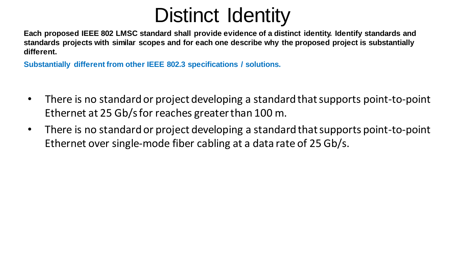#### Distinct Identity

**Each proposed IEEE 802 LMSC standard shall provide evidence of a distinct identity. Identify standards and standards projects with similar scopes and for each one describe why the proposed project is substantially different.**

**Substantially different from other IEEE 802.3 specifications / solutions.**

- There is no standard or project developing a standard that supports point-to-point Ethernet at 25 Gb/s for reaches greater than 100 m.
- There is no standard or project developing a standard that supports point-to-point Ethernet over single-mode fiber cabling at a data rate of 25 Gb/s.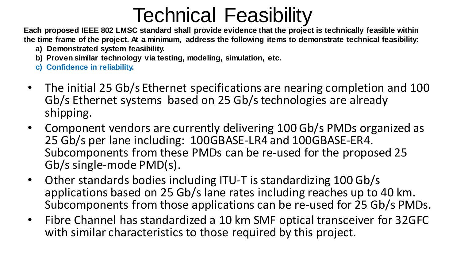### Technical Feasibility

**Each proposed IEEE 802 LMSC standard shall provide evidence that the project is technically feasible within the time frame of the project. At a minimum, address the following items to demonstrate technical feasibility:**

- **a) Demonstrated system feasibility.**
- **b) Proven similar technology via testing, modeling, simulation, etc.**
- **c) Confidence in reliability.**
- The initial 25 Gb/s Ethernet specifications are nearing completion and 100 Gb/s Ethernet systems based on 25 Gb/s technologies are already shipping.
- Component vendors are currently delivering 100 Gb/s PMDs organized as 25 Gb/s per lane including: 100GBASE-LR4 and 100GBASE-ER4. Subcomponents from these PMDs can be re-used for the proposed 25 Gb/s single-mode PMD(s).
- Other standards bodies including ITU-T is standardizing 100 Gb/s applications based on 25 Gb/s lane rates including reaches up to 40 km. Subcomponents from those applications can be re-used for 25 Gb/s PMDs.
- Fibre Channel has standardized a 10 km SMF optical transceiver for 32GFC with similar characteristics to those required by this project.